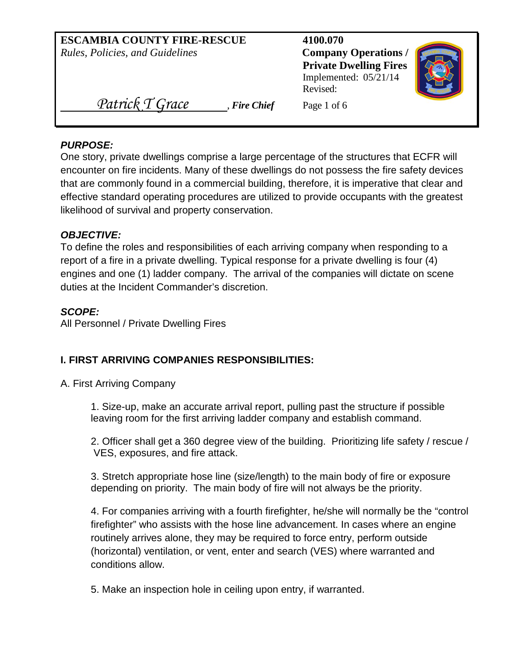| <b>ESCAMBIA COUNTY FIRE-RESCUE</b><br>Rules, Policies, and Guidelines | 4100.070<br><b>Company Operations /</b><br><b>Private Dwelling Fires</b><br>Implemented: $05/21/14$<br>Revised: |  |
|-----------------------------------------------------------------------|-----------------------------------------------------------------------------------------------------------------|--|
| Patrick T Grace<br>, Fire Chief                                       | Page 1 of 6                                                                                                     |  |

#### *PURPOSE:*

One story, private dwellings comprise a large percentage of the structures that ECFR will encounter on fire incidents. Many of these dwellings do not possess the fire safety devices that are commonly found in a commercial building, therefore, it is imperative that clear and effective standard operating procedures are utilized to provide occupants with the greatest likelihood of survival and property conservation.

### *OBJECTIVE:*

To define the roles and responsibilities of each arriving company when responding to a report of a fire in a private dwelling. Typical response for a private dwelling is four (4) engines and one (1) ladder company. The arrival of the companies will dictate on scene duties at the Incident Commander's discretion.

#### *SCOPE:*

All Personnel / Private Dwelling Fires

### **I. FIRST ARRIVING COMPANIES RESPONSIBILITIES:**

A. First Arriving Company

1. Size-up, make an accurate arrival report, pulling past the structure if possible leaving room for the first arriving ladder company and establish command.

2. Officer shall get a 360 degree view of the building. Prioritizing life safety / rescue / VES, exposures, and fire attack.

3. Stretch appropriate hose line (size/length) to the main body of fire or exposure depending on priority. The main body of fire will not always be the priority.

4. For companies arriving with a fourth firefighter, he/she will normally be the "control firefighter" who assists with the hose line advancement. In cases where an engine routinely arrives alone, they may be required to force entry, perform outside (horizontal) ventilation, or vent, enter and search (VES) where warranted and conditions allow.

5. Make an inspection hole in ceiling upon entry, if warranted.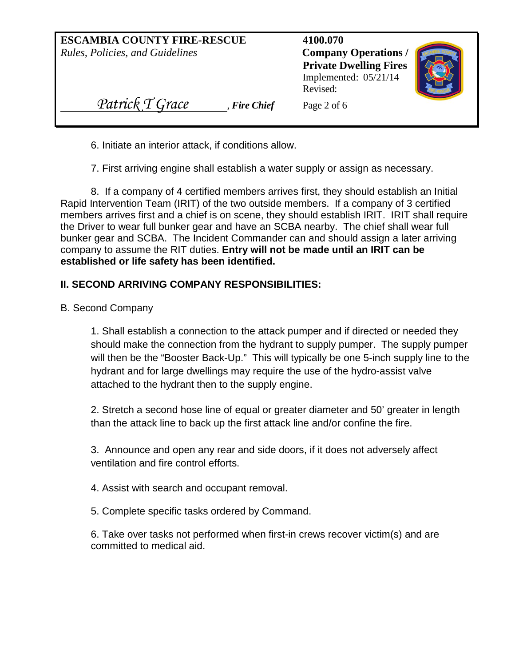| <b>ESCAMBIA COUNTY FIRE-RESCUE</b><br>Rules, Policies, and Guidelines | 4100.070<br><b>Company Operations /</b><br><b>Private Dwelling Fires</b><br>Implemented: $05/21/14$<br>Revised: |
|-----------------------------------------------------------------------|-----------------------------------------------------------------------------------------------------------------|
| Patrick T Grace<br>, Fire Chief                                       | Page 2 of 6                                                                                                     |

6. Initiate an interior attack, if conditions allow.

7. First arriving engine shall establish a water supply or assign as necessary.

8. If a company of 4 certified members arrives first, they should establish an Initial Rapid Intervention Team (IRIT) of the two outside members. If a company of 3 certified members arrives first and a chief is on scene, they should establish IRIT. IRIT shall require the Driver to wear full bunker gear and have an SCBA nearby. The chief shall wear full bunker gear and SCBA. The Incident Commander can and should assign a later arriving company to assume the RIT duties. **Entry will not be made until an IRIT can be established or life safety has been identified.**

# **II. SECOND ARRIVING COMPANY RESPONSIBILITIES:**

B. Second Company

1. Shall establish a connection to the attack pumper and if directed or needed they should make the connection from the hydrant to supply pumper. The supply pumper will then be the "Booster Back-Up." This will typically be one 5-inch supply line to the hydrant and for large dwellings may require the use of the hydro-assist valve attached to the hydrant then to the supply engine.

2. Stretch a second hose line of equal or greater diameter and 50' greater in length than the attack line to back up the first attack line and/or confine the fire.

3. Announce and open any rear and side doors, if it does not adversely affect ventilation and fire control efforts.

4. Assist with search and occupant removal.

5. Complete specific tasks ordered by Command.

6. Take over tasks not performed when first-in crews recover victim(s) and are committed to medical aid.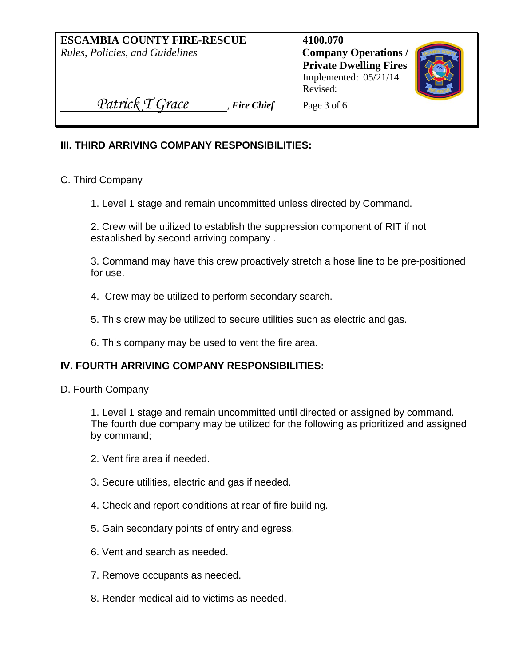**ESCAMBIA COUNTY FIRE-RESCUE 4100.070** *Rules, Policies, and Guidelines* **Company Operations /** 

**Private Dwelling Fires** Implemented: 05/21/14 Revised:



*Patrick T Grace* Fire Chief Page 3 of 6

## **III. THIRD ARRIVING COMPANY RESPONSIBILITIES:**

C. Third Company

1. Level 1 stage and remain uncommitted unless directed by Command.

2. Crew will be utilized to establish the suppression component of RIT if not established by second arriving company .

3. Command may have this crew proactively stretch a hose line to be pre-positioned for use.

- 4. Crew may be utilized to perform secondary search.
- 5. This crew may be utilized to secure utilities such as electric and gas.
- 6. This company may be used to vent the fire area.

### **IV. FOURTH ARRIVING COMPANY RESPONSIBILITIES:**

D. Fourth Company

1. Level 1 stage and remain uncommitted until directed or assigned by command. The fourth due company may be utilized for the following as prioritized and assigned by command;

- 2. Vent fire area if needed.
- 3. Secure utilities, electric and gas if needed.
- 4. Check and report conditions at rear of fire building.
- 5. Gain secondary points of entry and egress.
- 6. Vent and search as needed.
- 7. Remove occupants as needed.
- 8. Render medical aid to victims as needed.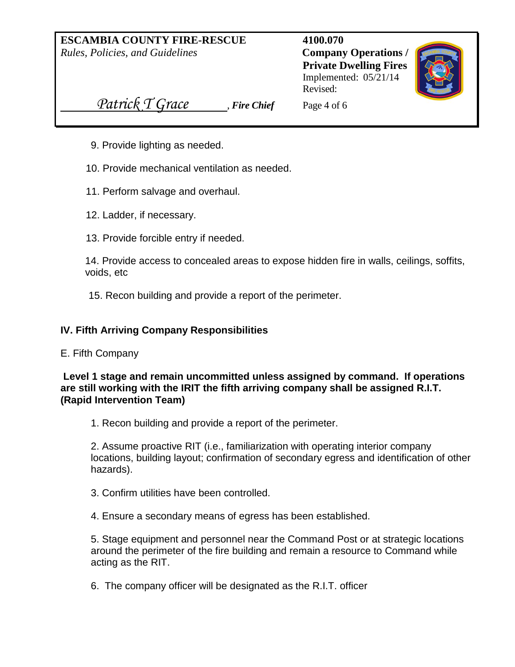**ESCAMBIA COUNTY FIRE-RESCUE 4100.070** *Rules, Policies, and Guidelines* **Company Operations /** 

**Private Dwelling Fires** Implemented: 05/21/14 Revised:



*Patrick T Grace* Fire Chief Page 4 of 6

- 9. Provide lighting as needed.
- 10. Provide mechanical ventilation as needed.
- 11. Perform salvage and overhaul.
- 12. Ladder, if necessary.
- 13. Provide forcible entry if needed.

14. Provide access to concealed areas to expose hidden fire in walls, ceilings, soffits, voids, etc

15. Recon building and provide a report of the perimeter.

### **IV. Fifth Arriving Company Responsibilities**

E. Fifth Company

**Level 1 stage and remain uncommitted unless assigned by command. If operations are still working with the IRIT the fifth arriving company shall be assigned R.I.T. (Rapid Intervention Team)**

1. Recon building and provide a report of the perimeter.

2. Assume proactive RIT (i.e., familiarization with operating interior company locations, building layout; confirmation of secondary egress and identification of other hazards).

3. Confirm utilities have been controlled.

4. Ensure a secondary means of egress has been established.

5. Stage equipment and personnel near the Command Post or at strategic locations around the perimeter of the fire building and remain a resource to Command while acting as the RIT.

6. The company officer will be designated as the R.I.T. officer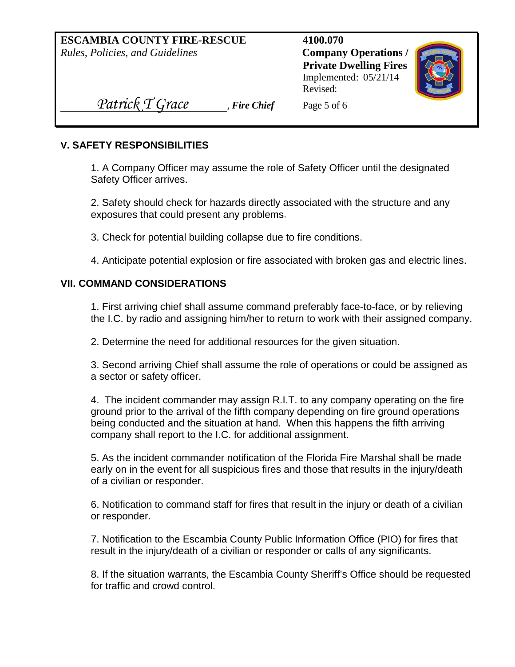**ESCAMBIA COUNTY FIRE-RESCUE 4100.070** *Rules, Policies, and Guidelines* **Company Operations /** 

**Private Dwelling Fires** Implemented: 05/21/14 Revised:



*Patrick T Grace* Fire Chief Page 5 of 6

### **V. SAFETY RESPONSIBILITIES**

1. A Company Officer may assume the role of Safety Officer until the designated Safety Officer arrives.

2. Safety should check for hazards directly associated with the structure and any exposures that could present any problems.

3. Check for potential building collapse due to fire conditions.

4. Anticipate potential explosion or fire associated with broken gas and electric lines.

## **VII. COMMAND CONSIDERATIONS**

1. First arriving chief shall assume command preferably face-to-face, or by relieving the I.C. by radio and assigning him/her to return to work with their assigned company.

2. Determine the need for additional resources for the given situation.

3. Second arriving Chief shall assume the role of operations or could be assigned as a sector or safety officer.

4. The incident commander may assign R.I.T. to any company operating on the fire ground prior to the arrival of the fifth company depending on fire ground operations being conducted and the situation at hand. When this happens the fifth arriving company shall report to the I.C. for additional assignment.

5. As the incident commander notification of the Florida Fire Marshal shall be made early on in the event for all suspicious fires and those that results in the injury/death of a civilian or responder.

6. Notification to command staff for fires that result in the injury or death of a civilian or responder.

7. Notification to the Escambia County Public Information Office (PIO) for fires that result in the injury/death of a civilian or responder or calls of any significants.

8. If the situation warrants, the Escambia County Sheriff's Office should be requested for traffic and crowd control.